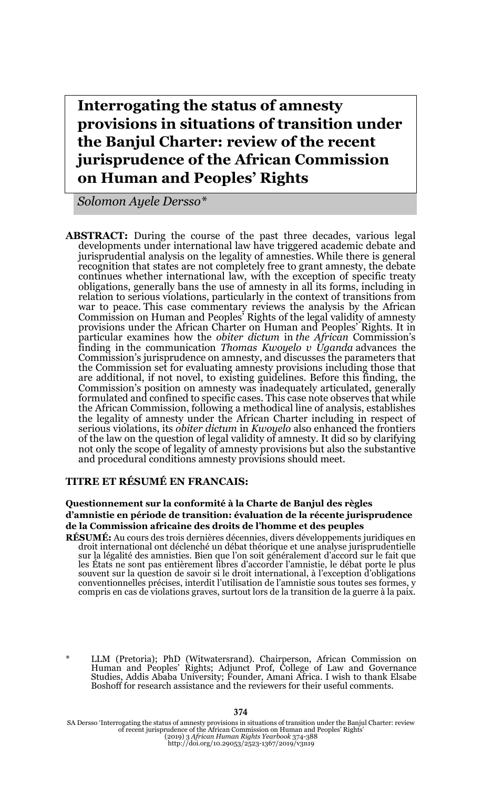**Interrogating the status of amnesty provisions in situations of transition under the Banjul Charter: review of the recent jurisprudence of the African Commission on Human and Peoples' Rights** 

*Solomon Ayele Dersso\**

**ABSTRACT:** During the course of the past three decades, various legal developments under international law have triggered academic debate and jurisprudential analysis on the legality of amnesties. While there is general recognition that states are not completely free to grant amnesty, the debate continues whether international law, with the exception of specific treaty obligations, generally bans the use of amnesty in all its forms, including in relation to serious violations, particularly in the context of transitions from war to peace. This case commentary reviews the analysis by the African Commission on Human and Peoples' Rights of the legal validity of amnesty provisions under the African Charter on Human and Peoples' Rights. It in particular examines how the *obiter dictum* in *the African* Commission's finding in the communication *Thomas Kwoyelo v Uganda* advances the Commission's jurisprudence on amnesty, and discusses the parameters that the Commission set for evaluating amnesty provisions including those that are additional, if not novel, to existing guidelines. Before this finding, the Commission's position on amnesty was inadequately articulated, generally formulated and confined to specific cases. This case note observes that while the African Commission, following a methodical line of analysis, establishes the legality of amnesty under the African Charter including in respect of serious violations, its *obiter dictum* in *Kwoyelo* also enhanced the frontiers of the law on the question of legal validity of amnesty. It did so by clarifying not only the scope of legality of amnesty provisions but also the substantive and procedural conditions amnesty provisions should meet.

#### **TITRE ET RÉSUMÉ EN FRANCAIS:**

#### **Questionnement sur la conformité à la Charte de Banjul des règles d'amnistie en période de transition: évaluation de la récente jurisprudence de la Commission africaine des droits de l'homme et des peuples**

**RÉSUMÉ:** Au cours des trois dernières décennies, divers développements juridiques en droit international ont déclenché un débat théorique et une analyse jurisprudentielle sur la légalité des amnisties. Bien que l'on soit généralement d'accord sur le fait que les États ne sont pas entièrement libres d'accorder l'amnistie, le débat porte le plus souvent sur la question de savoir si le droit international, à l'exception d'obligations conventionnelles précises, interdit l'utilisation de l'amnistie sous toutes ses formes, y compris en cas de violations graves, surtout lors de la transition de la guerre à la paix.

\* LLM (Pretoria); PhD (Witwatersrand). Chairperson, African Commission on Human and Peoples' Rights; Adjunct Prof, College of Law and Governance Studies, Addis Ababa University; Founder, Amani Africa. I wish to thank Elsabe Boshoff for research assistance and the reviewers for their useful comments.

SA Dersso 'Interrogating the status of amnesty provisions in situations of transition under the Banjul Charter: review<br>of recent jurisprudence of the African Commission on Human and Peoples' Rights'<br>(2019) 3 African Human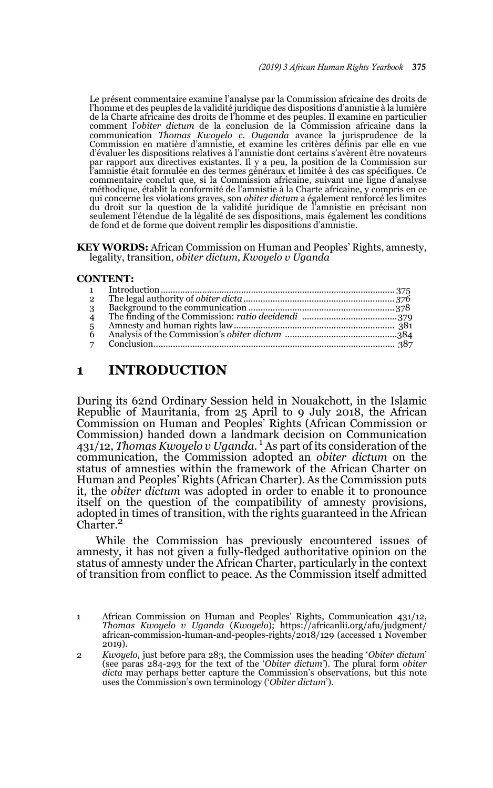Le présent commentaire examine l'analyse par la Commission africaine des droits de l'homme et des peuples de la validité juridique des dispositions d'amnistie à la lumière de la Charte africaine des droits de l'homme et des peuples. Il examine en particulier comment l'*obiter dictum* de la conclusion de la Commission africaine dans la communication *Thomas Kwoyelo c. Ouganda* avance la jurisprudence de la Commission en matière d'amnistie, et examine les critères définis par elle en vue d'évaluer les dispositions relatives à l'amnistie dont certains s'avèrent être novateurs par rapport aux directives existantes. Il y a peu, la position de la Commission sur l'amnistie était formulée en des termes généraux et limitée à des cas spécifiques. Ce commentaire conclut que, si la Commission africaine, suivant une ligne d'analyse méthodique, établit la conformité de l'amnistie à la Charte africaine, y compris en ce qui concerne les violations graves, son *obiter dictum* a également renforcé les limites du droit sur la question de la validité juridique de l'amnistie en précisant non seulement l'étendue de la légalité de ses dispositions, mais également les conditions de fond et de forme que doivent remplir les dispositions d'amnistie.

**KEY WORDS:** African Commission on Human and Peoples' Rights, amnesty, legality, transition, *obiter dictum*, *Kwoyelo v Uganda*

#### **CONTENT:**

### **1 INTRODUCTION**

During its 62nd Ordinary Session held in Nouakchott, in the Islamic Republic of Mauritania, from 25 April to 9 July 2018, the African Commission on Human and Peoples' Rights (African Commission or Commission) handed down a landmark decision on Communication 431/12, *Thomas Kwoyelo v Uganda*. 1 As part of its consideration of the communication, the Commission adopted an *obiter dictum* on the status of amnesties within the framework of the African Charter on Human and Peoples' Rights (African Charter). As the Commission puts it, the *obiter dictum* was adopted in order to enable it to pronounce itself on the question of the compatibility of amnesty provisions, adopted in times of transition, with the rights guaranteed in the African Charter.<sup>2</sup>

While the Commission has previously encountered issues of amnesty, it has not given a fully-fledged authoritative opinion on the status of amnesty under the African Charter, particularly in the context of transition from conflict to peace. As the Commission itself admitted

<sup>1</sup> African Commission on Human and Peoples' Rights, Communication 431/12, *Thomas Kwoyelo v Uganda* (*Kwoyelo*); https://africanlii.org/afu/judgment/ african-commission-human-and-peoples-rights/2018/129 (accessed 1 November 2019).

<sup>2</sup> *Kwoyelo,* just before para 283, the Commission uses the heading '*Obiter dictum*' (see paras 284-293 for the text of the '*Obiter dictum'*). The plural form *obiter dicta* may perhaps better capture the Commission's observations, but this note uses the Commission's own terminology ('*Obiter dictum*').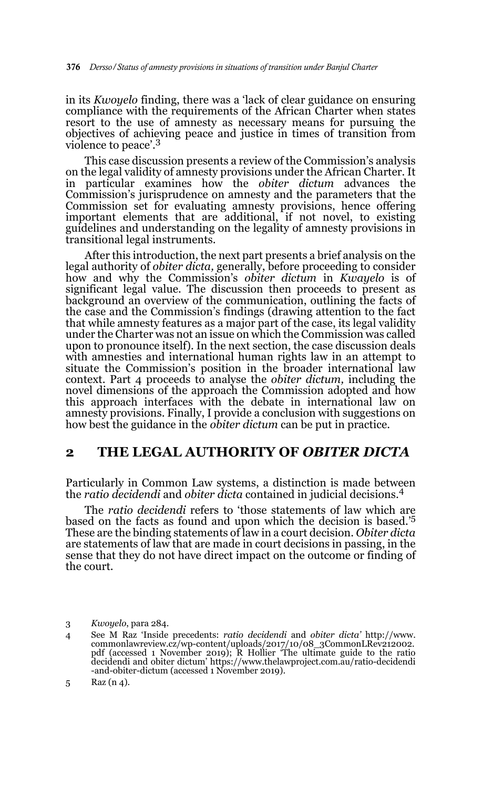in its *Kwoyelo* finding, there was a 'lack of clear guidance on ensuring compliance with the requirements of the African Charter when states resort to the use of amnesty as necessary means for pursuing the objectives of achieving peace and justice in times of transition from violence to peace'.<sup>3</sup>

This case discussion presents a review of the Commission's analysis on the legal validity of amnesty provisions under the African Charter. It in particular examines how the *obiter dictum* advances the Commission's jurisprudence on amnesty and the parameters that the Commission set for evaluating amnesty provisions, hence offering important elements that are additional, if not novel, to existing guidelines and understanding on the legality of amnesty provisions in transitional legal instruments.

After this introduction, the next part presents a brief analysis on the legal authority of *obiter dicta,* generally, before proceeding to consider how and why the Commission's *obiter dictum* in *Kwayelo* is of significant legal value. The discussion then proceeds to present as background an overview of the communication, outlining the facts of the case and the Commission's findings (drawing attention to the fact that while amnesty features as a major part of the case, its legal validity under the Charter was not an issue on which the Commission was called upon to pronounce itself). In the next section, the case discussion deals with amnesties and international human rights law in an attempt to situate the Commission's position in the broader international law context. Part 4 proceeds to analyse the *obiter dictum,* including the novel dimensions of the approach the Commission adopted and how this approach interfaces with the debate in international law on amnesty provisions. Finally, I provide a conclusion with suggestions on how best the guidance in the *obiter dictum* can be put in practice.

## **2 THE LEGAL AUTHORITY OF** *OBITER DICTA*

Particularly in Common Law systems, a distinction is made between the *ratio decidendi* and *obiter dicta* contained in judicial decisions.<sup>4</sup>

The *ratio decidendi* refers to 'those statements of law which are based on the facts as found and upon which the decision is based.'5 These are the binding statements of law in a court decision. *Obiter dicta* are statements of law that are made in court decisions in passing, in the sense that they do not have direct impact on the outcome or finding of the court.

<sup>3</sup> *Kwoyelo*, para 284.

<sup>4</sup> See M Raz 'Inside precedents: *ratio decidendi* and *obiter dicta'* http://www. commonlawreview.cz/wp-content/uploads/2017/10/08\_3CommonLRev212002. pdf (accessed 1 November 2019); R Hollier 'The ultimate guide to the ratio decidendi and obiter dictum' https://www.thelawproject.com.au/ratio-decidendi -and-obiter-dictum (accessed 1 November 2019).

<sup>5</sup> Raz (n 4).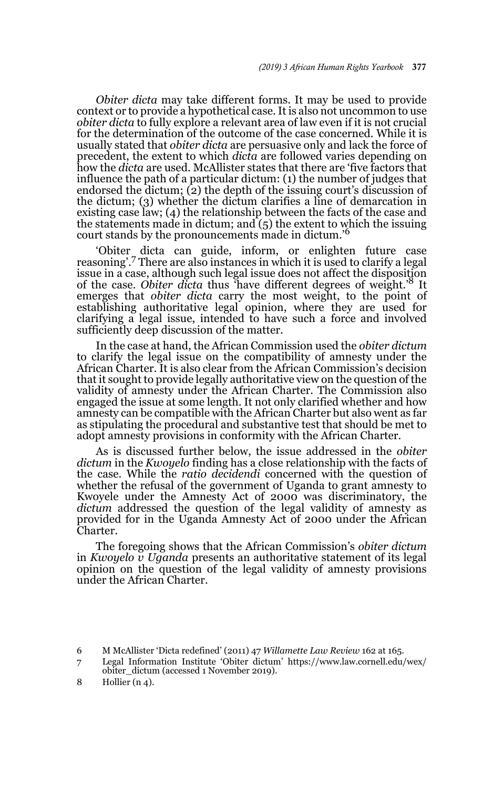*Obiter dicta* may take different forms. It may be used to provide context or to provide a hypothetical case. It is also not uncommon to use *obiter dicta* to fully explore a relevant area of law even if it is not crucial for the determination of the outcome of the case concerned. While it is usually stated that *obiter dicta* are persuasive only and lack the force of precedent, the extent to which *dicta* are followed varies depending on how the *dicta* are used. McAllister states that there are 'five factors that influence the path of a particular dictum: (1) the number of judges that endorsed the dictum; (2) the depth of the issuing court's discussion of the dictum; (3) whether the dictum clarifies a line of demarcation in existing case law; (4) the relationship between the facts of the case and the statements made in dictum; and  $(5)$  the extent to which the issuing court stands by the pronouncements made in dictum.'<sup>6</sup>

'Obiter dicta can guide, inform, or enlighten future case reasoning'.7 There are also instances in which it is used to clarify a legal issue in a case, although such legal issue does not affect the disposition of the case. *Obiter dicta* thus 'have different degrees of weight.'8 It emerges that *obiter dicta* carry the most weight, to the point of establishing authoritative legal opinion, where they are used for clarifying a legal issue, intended to have such a force and involved sufficiently deep discussion of the matter.

In the case at hand, the African Commission used the *obiter dictum* to clarify the legal issue on the compatibility of amnesty under the African Charter. It is also clear from the African Commission's decision that it sought to provide legally authoritative view on the question of the validity of amnesty under the African Charter. The Commission also engaged the issue at some length. It not only clarified whether and how amnesty can be compatible with the African Charter but also went as far as stipulating the procedural and substantive test that should be met to adopt amnesty provisions in conformity with the African Charter.

As is discussed further below, the issue addressed in the *obiter dictum* in the *Kwoyelo* finding has a close relationship with the facts of the case. While the *ratio decidendi* concerned with the question of whether the refusal of the government of Uganda to grant amnesty to Kwoyele under the Amnesty Act of 2000 was discriminatory, the *dictum* addressed the question of the legal validity of amnesty as provided for in the Uganda Amnesty Act of 2000 under the African Charter.

The foregoing shows that the African Commission's *obiter dictum* in *Kwoyelo v Uganda* presents an authoritative statement of its legal opinion on the question of the legal validity of amnesty provisions under the African Charter.

<sup>6</sup> M McAllister 'Dicta redefined' (2011) 47 *Willamette Law Review* 162 at 165.

<sup>7</sup> Legal Information Institute 'Obiter dictum' https://www.law.cornell.edu/wex/ obiter\_dictum (accessed 1 November 2019).

<sup>8</sup> Hollier (n 4).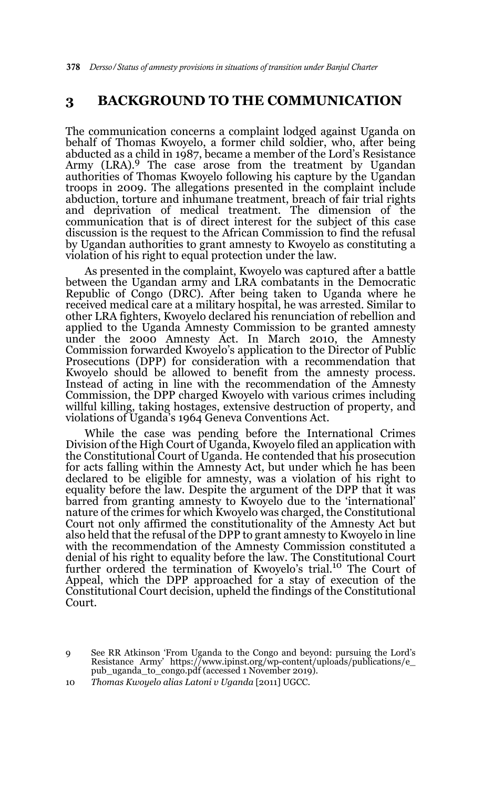378 *Dersso/Status of amnesty provisions in situations of transition under Banjul Charter*

## **3 BACKGROUND TO THE COMMUNICATION**

The communication concerns a complaint lodged against Uganda on behalf of Thomas Kwoyelo, a former child soldier, who, after being abducted as a child in 1987, became a member of the Lord's Resistance Army  $(LRA)$ .<sup>9</sup> The case arose from the treatment by Ugandan authorities of Thomas Kwoyelo following his capture by the Ugandan troops in 2009. The allegations presented in the complaint include abduction, torture and inhumane treatment, breach of fair trial rights and deprivation of medical treatment. The dimension of the communication that is of direct interest for the subject of this case discussion is the request to the African Commission to find the refusal by Ugandan authorities to grant amnesty to Kwoyelo as constituting a violation of his right to equal protection under the law.

As presented in the complaint, Kwoyelo was captured after a battle between the Ugandan army and LRA combatants in the Democratic Republic of Congo (DRC). After being taken to Uganda where he received medical care at a military hospital, he was arrested. Similar to other LRA fighters, Kwoyelo declared his renunciation of rebellion and applied to the Uganda Amnesty Commission to be granted amnesty under the 2000 Amnesty Act. In March 2010, the Amnesty Commission forwarded Kwoyelo's application to the Director of Public Prosecutions (DPP) for consideration with a recommendation that Kwoyelo should be allowed to benefit from the amnesty process. Instead of acting in line with the recommendation of the Amnesty Commission, the DPP charged Kwoyelo with various crimes including willful killing, taking hostages, extensive destruction of property, and violations of Uganda's 1964 Geneva Conventions Act.

While the case was pending before the International Crimes Division of the High Court of Uganda, Kwoyelo filed an application with the Constitutional Court of Uganda. He contended that his prosecution for acts falling within the Amnesty Act, but under which he has been declared to be eligible for amnesty, was a violation of his right to equality before the law. Despite the argument of the DPP that it was barred from granting amnesty to Kwoyelo due to the 'international' nature of the crimes for which Kwoyelo was charged, the Constitutional Court not only affirmed the constitutionality of the Amnesty Act but also held that the refusal of the DPP to grant amnesty to Kwoyelo in line with the recommendation of the Amnesty Commission constituted a denial of his right to equality before the law. The Constitutional Court further ordered the termination of Kwoyelo's trial.<sup>10</sup> The Court of Appeal, which the DPP approached for a stay of execution of the Constitutional Court decision, upheld the findings of the Constitutional Court.

<sup>9</sup> See RR Atkinson 'From Uganda to the Congo and beyond: pursuing the Lord's Resistance Army' https://www.ipinst.org/wp-content/uploads/publications/e\_ pub\_uganda\_to\_congo.pdf (accessed 1 November 2019).

<sup>10</sup> *Thomas Kwoyelo alias Latoni v Uganda* [2011] UGCC.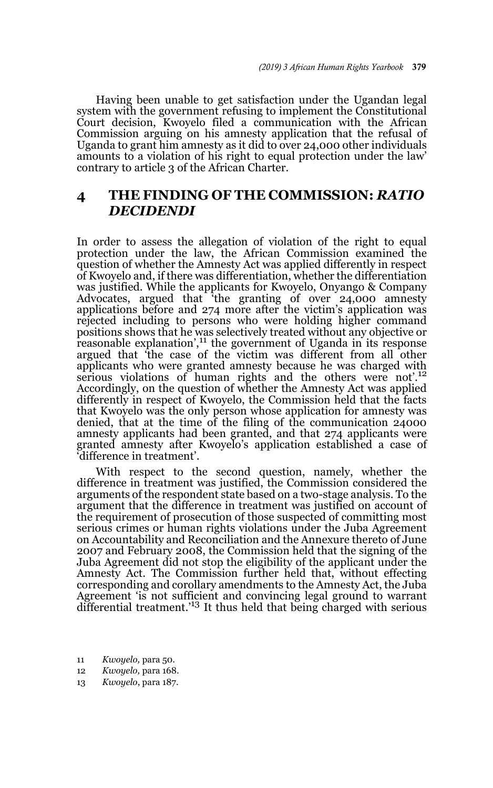Having been unable to get satisfaction under the Ugandan legal system with the government refusing to implement the Constitutional Court decision, Kwoyelo filed a communication with the African Commission arguing on his amnesty application that the refusal of Uganda to grant him amnesty as it did to over 24,000 other individuals amounts to a violation of his right to equal protection under the law' contrary to article 3 of the African Charter.

# **4 THE FINDING OF THE COMMISSION:** *RATIO DECIDENDI*

In order to assess the allegation of violation of the right to equal protection under the law, the African Commission examined the question of whether the Amnesty Act was applied differently in respect of Kwoyelo and, if there was differentiation, whether the differentiation was justified. While the applicants for Kwoyelo, Onyango & Company Advocates, argued that 'the granting of over 24,000 amnesty applications before and 274 more after the victim's application was rejected including to persons who were holding higher command positions shows that he was selectively treated without any objective or reasonable explanation<sup>',11</sup> the government of Uganda in its response argued that 'the case of the victim was different from all other applicants who were granted amnesty because he was charged with serious violations of human rights and the others were not'.<sup>12</sup> Accordingly, on the question of whether the Amnesty Act was applied differently in respect of Kwoyelo, the Commission held that the facts that Kwoyelo was the only person whose application for amnesty was denied, that at the time of the filing of the communication 24000 amnesty applicants had been granted, and that 274 applicants were granted amnesty after Kwoyelo's application established a case of 'difference in treatment'.

With respect to the second question, namely, whether the difference in treatment was justified, the Commission considered the arguments of the respondent state based on a two-stage analysis. To the argument that the difference in treatment was justified on account of the requirement of prosecution of those suspected of committing most serious crimes or human rights violations under the Juba Agreement on Accountability and Reconciliation and the Annexure thereto of June 2007 and February 2008, the Commission held that the signing of the Juba Agreement did not stop the eligibility of the applicant under the Amnesty Act. The Commission further held that, without effecting corresponding and corollary amendments to the Amnesty Act, the Juba Agreement 'is not sufficient and convincing legal ground to warrant differential treatment.'13 It thus held that being charged with serious

- 11 *Kwoyelo,* para 50.
- 12 *Kwoyelo,* para 168.
- 13 *Kwoyelo*, para 187.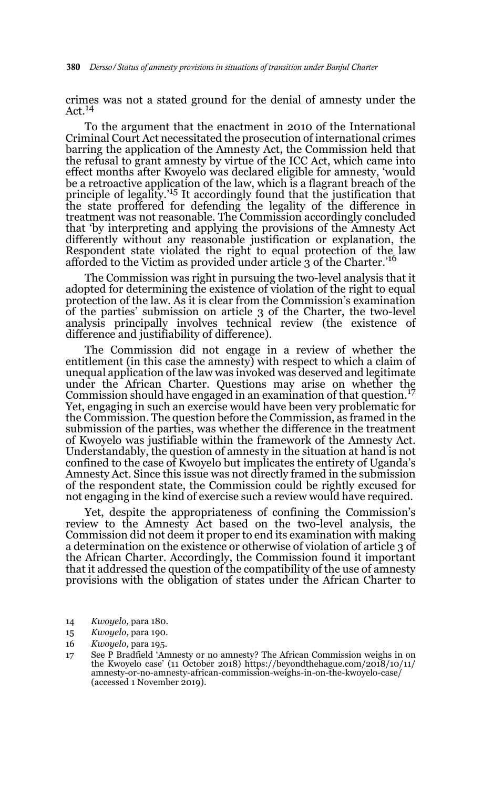crimes was not a stated ground for the denial of amnesty under the Act. $14$ 

To the argument that the enactment in 2010 of the International Criminal Court Act necessitated the prosecution of international crimes barring the application of the Amnesty Act, the Commission held that the refusal to grant amnesty by virtue of the ICC Act, which came into effect months after Kwoyelo was declared eligible for amnesty, 'would be a retroactive application of the law, which is a flagrant breach of the principle of legality.'15 It accordingly found that the justification that the state proffered for defending the legality of the difference in treatment was not reasonable. The Commission accordingly concluded that 'by interpreting and applying the provisions of the Amnesty Act differently without any reasonable justification or explanation, the Respondent state violated the right to equal protection of the law afforded to the Victim as provided under article  $\frac{1}{3}$  of the Charter.<sup>16</sup>

The Commission was right in pursuing the two-level analysis that it adopted for determining the existence of violation of the right to equal protection of the law. As it is clear from the Commission's examination of the parties' submission on article 3 of the Charter, the two-level analysis principally involves technical review (the existence of difference and justifiability of difference).

The Commission did not engage in a review of whether the entitlement (in this case the amnesty) with respect to which a claim of unequal application of the law was invoked was deserved and legitimate under the African Charter. Questions may arise on whether the Commission should have engaged in an examination of that question.<sup>17</sup> Yet, engaging in such an exercise would have been very problematic for the Commission. The question before the Commission, as framed in the submission of the parties, was whether the difference in the treatment of Kwoyelo was justifiable within the framework of the Amnesty Act. Understandably, the question of amnesty in the situation at hand is not confined to the case of Kwoyelo but implicates the entirety of Uganda's Amnesty Act. Since this issue was not directly framed in the submission of the respondent state, the Commission could be rightly excused for not engaging in the kind of exercise such a review would have required.

Yet, despite the appropriateness of confining the Commission's review to the Amnesty Act based on the two-level analysis, the Commission did not deem it proper to end its examination with making a determination on the existence or otherwise of violation of article 3 of the African Charter. Accordingly, the Commission found it important that it addressed the question of the compatibility of the use of amnesty provisions with the obligation of states under the African Charter to

- 14 *Kwoyelo,* para 180.
- 15 *Kwoyelo,* para 190.
- 16 *Kwoyelo,* para 195.
- 17 See P Bradfield 'Amnesty or no amnesty? The African Commission weighs in on the Kwoyelo case' (11 October 2018) https://beyondthehague.com/2018/10/11/ amnesty-or-no-amnesty-african-commission-weighs-in-on-the-kwoyelo-case/ (accessed 1 November 2019).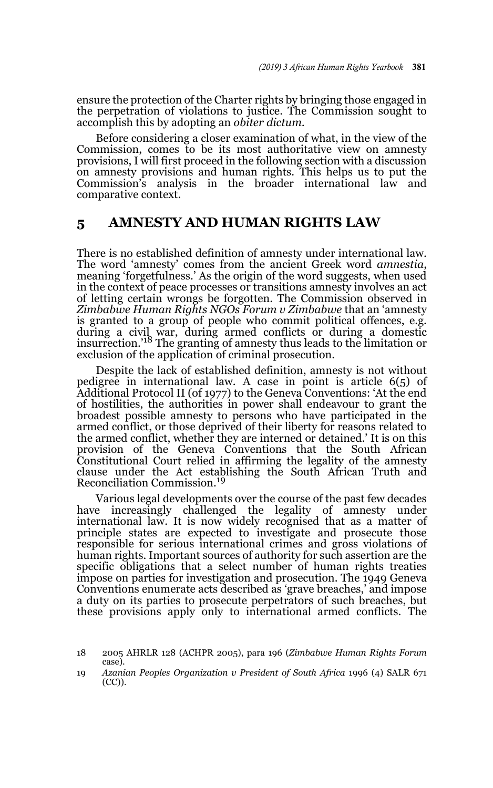ensure the protection of the Charter rights by bringing those engaged in the perpetration of violations to justice. The Commission sought to accomplish this by adopting an *obiter dictum.* 

Before considering a closer examination of what, in the view of the Commission, comes to be its most authoritative view on amnesty provisions, I will first proceed in the following section with a discussion on amnesty provisions and human rights. This helps us to put the Commission's analysis in the broader international law and comparative context.

## **5 AMNESTY AND HUMAN RIGHTS LAW**

There is no established definition of amnesty under international law.<br>The word 'amnesty' comes from the ancient Greek word *amnestia*, meaning 'forgetfulness.' As the origin of the word suggests, when used in the context of peace processes or transitions amnesty involves an act of letting certain wrongs be forgotten. The Commission observed in *Zimbabwe Human Rights NGOs Forum v Zimbabwe* that an 'amnesty is granted to a group of people who commit political offences, e.g. during a civil war, during armed conflicts or during a domestic insurrection.'18 The granting of amnesty thus leads to the limitation or exclusion of the application of criminal prosecution.

Despite the lack of established definition, amnesty is not without pedigree in international law. A case in point is article 6(5) of Additional Protocol II (of 1977) to the Geneva Conventions: 'At the end of hostilities, the authorities in power shall endeavour to grant the broadest possible amnesty to persons who have participated in the armed conflict, or those deprived of their liberty for reasons related to the armed conflict, whether they are interned or detained.' It is on this provision of the Geneva Conventions that the South African Constitutional Court relied in affirming the legality of the amnesty clause under the Act establishing the South African Truth and Reconciliation Commission.<sup>19</sup>

Various legal developments over the course of the past few decades have increasingly challenged the legality of amnesty under international law. It is now widely recognised that as a matter of principle states are expected to investigate and prosecute those responsible for serious international crimes and gross violations of human rights. Important sources of authority for such assertion are the specific obligations that a select number of human rights treaties impose on parties for investigation and prosecution. The 1949 Geneva Conventions enumerate acts described as 'grave breaches,' and impose a duty on its parties to prosecute perpetrators of such breaches, but these provisions apply only to international armed conflicts. The

<sup>18 2005</sup> AHRLR 128 (ACHPR 2005), para 196 (*Zimbabwe Human Rights Forum* case).

<sup>19</sup> *Azanian Peoples Organization v President of South Africa* 1996 (4) SALR 671 (CC)).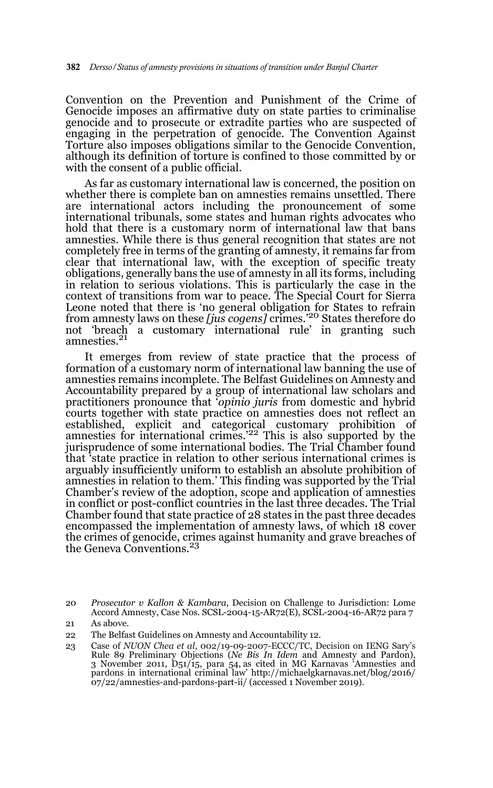Convention on the Prevention and Punishment of the Crime of Genocide imposes an affirmative duty on state parties to criminalise genocide and to prosecute or extradite parties who are suspected of engaging in the perpetration of genocide. The Convention Against Torture also imposes obligations similar to the Genocide Convention, although its definition of torture is confined to those committed by or with the consent of a public official.

As far as customary international law is concerned, the position on whether there is complete ban on amnesties remains unsettled. There are international actors including the pronouncement of some international tribunals, some states and human rights advocates who hold that there is a customary norm of international law that bans amnesties. While there is thus general recognition that states are not completely free in terms of the granting of amnesty, it remains far from clear that international law, with the exception of specific treaty obligations, generally bans the use of amnesty in all its forms, including in relation to serious violations. This is particularly the case in the context of transitions from war to peace. The Special Court for Sierra Leone noted that there is 'no general obligation for States to refrain from amnesty laws on these *[jus cogens]* crimes.'20 States therefore do not 'breach a customary international rule' in granting such amnesties.<sup>21</sup>

It emerges from review of state practice that the process of formation of a customary norm of international law banning the use of amnesties remains incomplete. The Belfast Guidelines on Amnesty and Accountability prepared by a group of international law scholars and practitioners pronounce that '*opinio juris* from domestic and hybrid courts together with state practice on amnesties does not reflect an established, explicit and categorical customary prohibition of amnesties for international crimes.<sup>'22</sup> This is also supported by the jurisprudence of some international bodies. The Trial Chamber found that 'state practice in relation to other serious international crimes is arguably insufficiently uniform to establish an absolute prohibition of amnesties in relation to them.' This finding was supported by the Trial Chamber's review of the adoption, scope and application of amnesties in conflict or post-conflict countries in the last three decades. The Trial Chamber found that state practice of 28 states in the past three decades encompassed the implementation of amnesty laws, of which 18 cover the crimes of genocide, crimes against humanity and grave breaches of the Geneva Conventions.<sup>23</sup>

<sup>20</sup> *Prosecutor v Kallon & Kambara*, Decision on Challenge to Jurisdiction: Lome Accord Amnesty, Case Nos. SCSL-2004-15-AR72(E), SCSL-2004-16-AR72 para 7 21 As above.

<sup>22</sup> The Belfast Guidelines on Amnesty and Accountability 12.

<sup>23</sup> Case of *NUON Chea et al*, 002/19-09-2007-ECCC/TC, Decision on IENG Sary's Rule 89 Preliminary Objections (*Ne Bis In Idem* and Amnesty and Pardon), 3 November 2011, D51/15, para 54, as cited in MG Karnavas 'Amnesties and pardons in international criminal law' http://michaelgkarnavas.net/blog/2016/ 07/22/amnesties-and-pardons-part-ii/ (accessed 1 November 2019).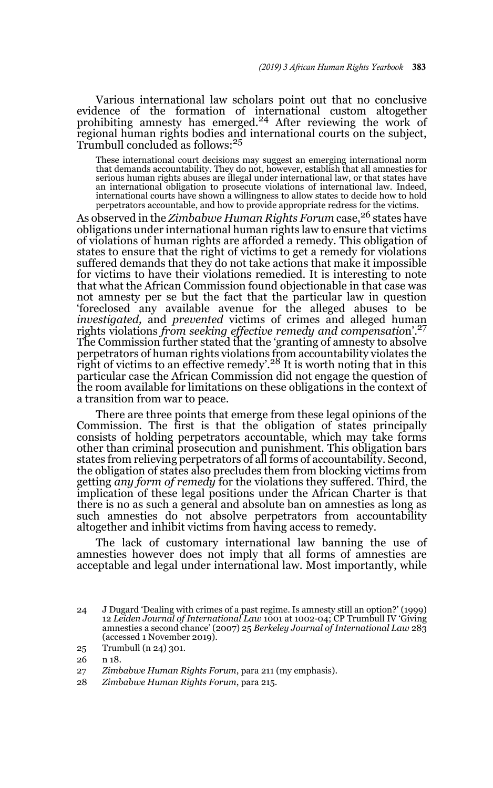Various international law scholars point out that no conclusive evidence of the formation of international custom altogether prohibiting amnesty has emerged.24 After reviewing the work of regional human rights bodies and international courts on the subject, Trumbull concluded as follows:<sup>25</sup>

These international court decisions may suggest an emerging international norm that demands accountability. They do not, however, establish that all amnesties for serious human rights abuses are illegal under international law, or that states have an international obligation to prosecute violations of international law. Indeed, international courts have shown a willingness to allow states to decide how to hold perpetrators accountable, and how to provide appropriate redress for the victims.

As observed in the *Zimbabwe Human Rights Forum* case,<sup>26</sup> states have obligations under international human rights law to ensure that victims of violations of human rights are afforded a remedy. This obligation of states to ensure that the right of victims to get a remedy for violations suffered demands that they do not take actions that make it impossible for victims to have their violations remedied. It is interesting to note that what the African Commission found objectionable in that case was not amnesty per se but the fact that the particular law in question 'foreclosed any available avenue for the alleged abuses to be *investigated,* and *prevented* victims of crimes and alleged human rights violations *from seeking effective remedy and compensatio*n'.27 The Commission further stated that the 'granting of amnesty to absolve perpetrators of human rights violations from accountability violates the right of victims to an effective remedy'.<sup>28</sup> It is worth noting that in this particular case the African Commission did not engage the question of the room available for limitations on these obligations in the context of a transition from war to peace.

There are three points that emerge from these legal opinions of the Commission. The first is that the obligation of states principally consists of holding perpetrators accountable, which may take forms other than criminal prosecution and punishment. This obligation bars states from relieving perpetrators of all forms of accountability. Second, the obligation of states also precludes them from blocking victims from getting *any form of remedy* for the violations they suffered. Third, the implication of these legal positions under the African Charter is that there is no as such a general and absolute ban on amnesties as long as such amnesties do not absolve perpetrators from accountability altogether and inhibit victims from having access to remedy.

The lack of customary international law banning the use of amnesties however does not imply that all forms of amnesties are acceptable and legal under international law. Most importantly, while

28 *Zimbabwe Human Rights Forum*, para 215.

<sup>24</sup> J Dugard 'Dealing with crimes of a past regime. Is amnesty still an option?' (1999) <sup>12</sup> *Leiden Journal of International Law* 1001 at 1002-04; CP Trumbull IV 'Giving amnesties a second chance' (2007) 25 *Berkeley Journal of International Law* 283 (accessed 1 November 2019).

<sup>25</sup> Trumbull (n 24) 301.

<sup>26</sup> n 18.

<sup>27</sup> *Zimbabwe Human Rights Forum*, para 211 (my emphasis).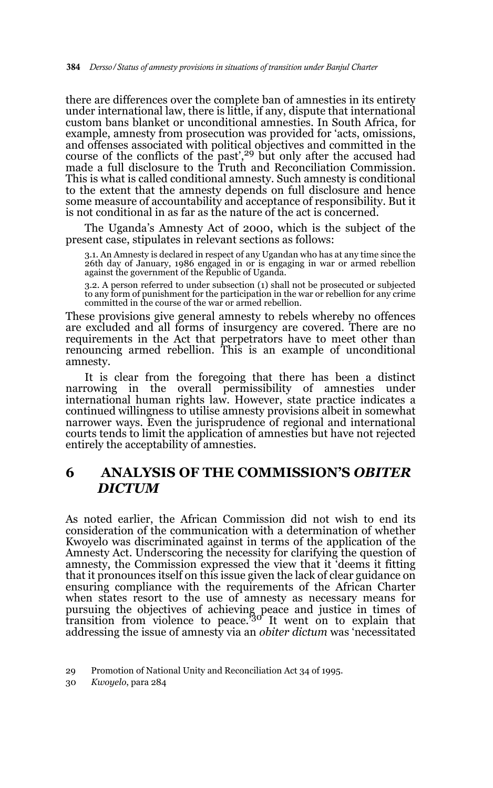there are differences over the complete ban of amnesties in its entirety under international law, there is little, if any, dispute that international custom bans blanket or unconditional amnesties. In South Africa, for example, amnesty from prosecution was provided for 'acts, omissions, and offenses associated with political objectives and committed in the course of the conflicts of the past<sup>', 29</sup> but only after the accused had made a full disclosure to the Truth and Reconciliation Commission. This is what is called conditional amnesty. Such amnesty is conditional to the extent that the amnesty depends on full disclosure and hence some measure of accountability and acceptance of responsibility. But it is not conditional in as far as the nature of the act is concerned.

The Uganda's Amnesty Act of 2000, which is the subject of the present case, stipulates in relevant sections as follows:

3.1. An Amnesty is declared in respect of any Ugandan who has at any time since the 26th day of January, 1986 engaged in or is engaging in war or armed rebellion against the government of the Republic of Uganda.

3.2. A person referred to under subsection (1) shall not be prosecuted or subjected to any form of punishment for the participation in the war or rebellion for any crime committed in the course of the war or armed rebellion.

These provisions give general amnesty to rebels whereby no offences are excluded and all forms of insurgency are covered. There are no requirements in the Act that perpetrators have to meet other than renouncing armed rebellion. This is an example of unconditional amnesty.

It is clear from the foregoing that there has been a distinct narrowing in the overall permissibility of amnesties under international human rights law. However, state practice indicates a continued willingness to utilise amnesty provisions albeit in somewhat narrower ways. Even the jurisprudence of regional and international courts tends to limit the application of amnesties but have not rejected entirely the acceptability of amnesties.

# **6 ANALYSIS OF THE COMMISSION'S** *OBITER DICTUM*

As noted earlier, the African Commission did not wish to end its consideration of the communication with a determination of whether Kwoyelo was discriminated against in terms of the application of the Amnesty Act. Underscoring the necessity for clarifying the question of amnesty, the Commission expressed the view that it 'deems it fitting that it pronounces itself on this issue given the lack of clear guidance on ensuring compliance with the requirements of the African Charter when states resort to the use of amnesty as necessary means for pursuing the objectives of achieving peace and justice in times of transition from violence to peace.'30 It went on to explain that addressing the issue of amnesty via an *obiter dictum* was 'necessitated

<sup>29</sup> Promotion of National Unity and Reconciliation Act 34 of 1995.

<sup>30</sup> *Kwoyelo*, para 284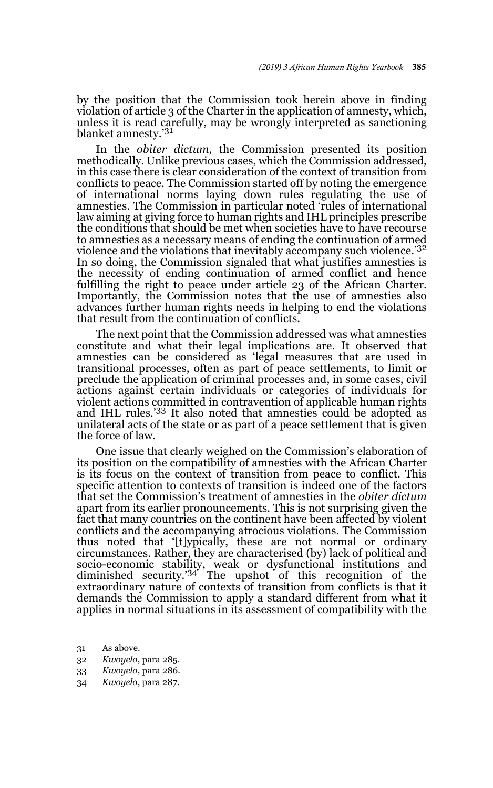by the position that the Commission took herein above in finding violation of article 3 of the Charter in the application of amnesty, which, unless it is read carefully, may be wrongly interpreted as sanctioning blanket amnesty.'<sup>31</sup>

In the *obiter dictum*, the Commission presented its position methodically. Unlike previous cases, which the Commission addressed, in this case there is clear consideration of the context of transition from conflicts to peace. The Commission started off by noting the emergence of international norms laying down rules regulating the use of amnesties. The Commission in particular noted 'rules of international law aiming at giving force to human rights and IHL principles prescribe the conditions that should be met when societies have to have recourse to amnesties as a necessary means of ending the continuation of armed violence and the violations that inevitably accompany such violence.'<sup>32</sup> In so doing, the Commission signaled that what justifies amnesties is the necessity of ending continuation of armed conflict and hence fulfilling the right to peace under article 23 of the African Charter. Importantly, the Commission notes that the use of amnesties also advances further human rights needs in helping to end the violations that result from the continuation of conflicts.

The next point that the Commission addressed was what amnesties constitute and what their legal implications are. It observed that amnesties can be considered as 'legal measures that are used in transitional processes, often as part of peace settlements, to limit or preclude the application of criminal processes and, in some cases, civil actions against certain individuals or categories of individuals for violent actions committed in contravention of applicable human rights and IHL rules.'33 It also noted that amnesties could be adopted as unilateral acts of the state or as part of a peace settlement that is given the force of law.

One issue that clearly weighed on the Commission's elaboration of its position on the compatibility of amnesties with the African Charter is its focus on the context of transition from peace to conflict. This specific attention to contexts of transition is indeed one of the factors that set the Commission's treatment of amnesties in the *obiter dictum* apart from its earlier pronouncements. This is not surprising given the fact that many countries on the continent have been affected by violent conflicts and the accompanying atrocious violations. The Commission thus noted that '[t]ypically, these are not normal or ordinary circumstances. Rather, they are characterised (by) lack of political and socio-economic stability, weak or dysfunctional institutions and<br>diminished security.<sup>34</sup> The upshot of this recognition of the extraordinary nature of contexts of transition from conflicts is that it demands the Commission to apply a standard different from what it applies in normal situations in its assessment of compatibility with the

- 31 As above.
- 32 *Kwoyelo*, para 285.
- 33 *Kwoyelo*, para 286.
- 34 *Kwoyelo*, para 287.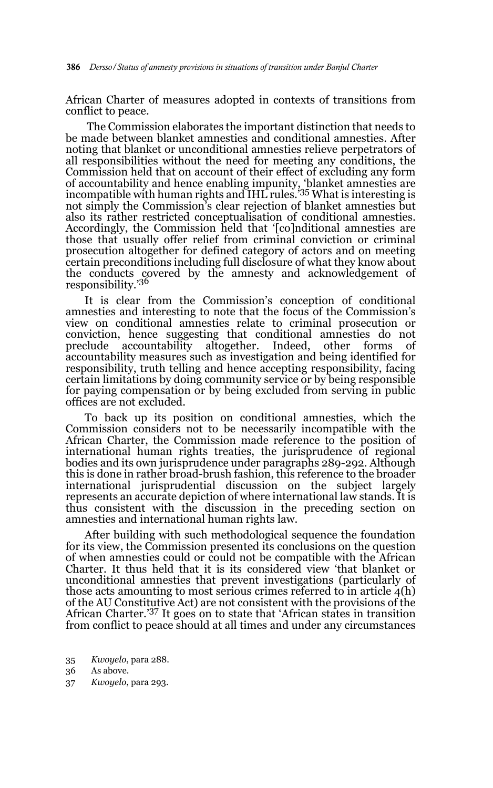African Charter of measures adopted in contexts of transitions from conflict to peace.

 The Commission elaborates the important distinction that needs to be made between blanket amnesties and conditional amnesties. After noting that blanket or unconditional amnesties relieve perpetrators of all responsibilities without the need for meeting any conditions, the Commission held that on account of their effect of excluding any form of accountability and hence enabling impunity, 'blanket amnesties are<br>incompatible with human rights and IHL rules.'<sup>35</sup> What is interesting is not simply the Commission's clear rejection of blanket amnesties but also its rather restricted conceptualisation of conditional amnesties. Accordingly, the Commission held that '[co]nditional amnesties are those that usually offer relief from criminal conviction or criminal prosecution altogether for defined category of actors and on meeting certain preconditions including full disclosure of what they know about the conducts covered by the amnesty and acknowledgement of responsibility.'36

It is clear from the Commission's conception of conditional amnesties and interesting to note that the focus of the Commission's view on conditional amnesties relate to criminal prosecution or conviction, hence suggesting that conditional amnesties do not preclude accountability altogether. Indeed, other forms of accountability measures such as investigation and being identified for responsibility, truth telling and hence accepting responsibility, facing certain limitations by doing community service or by being responsible for paying compensation or by being excluded from serving in public offices are not excluded.

To back up its position on conditional amnesties, which the Commission considers not to be necessarily incompatible with the African Charter, the Commission made reference to the position of international human rights treaties, the jurisprudence of regional bodies and its own jurisprudence under paragraphs 289-292. Although this is done in rather broad-brush fashion, this reference to the broader international jurisprudential discussion on the subject largely represents an accurate depiction of where international law stands. It is thus consistent with the discussion in the preceding section on amnesties and international human rights law.

After building with such methodological sequence the foundation for its view, the Commission presented its conclusions on the question of when amnesties could or could not be compatible with the African Charter. It thus held that it is its considered view 'that blanket or unconditional amnesties that prevent investigations (particularly of those acts amounting to most serious crimes referred to in article 4(h) of the AU Constitutive Act) are not consistent with the provisions of the African Charter.'37 It goes on to state that 'African states in transition from conflict to peace should at all times and under any circumstances

37 *Kwoyelo*, para 293.

<sup>35</sup> *Kwoyelo*, para 288.

<sup>36</sup> As above.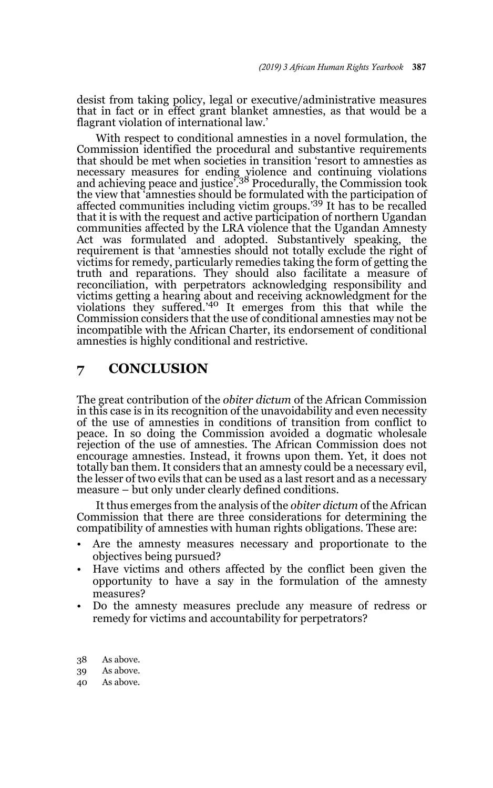desist from taking policy, legal or executive/administrative measures that in fact or in effect grant blanket amnesties, as that would be a flagrant violation of international law.'

With respect to conditional amnesties in a novel formulation, the Commission identified the procedural and substantive requirements that should be met when societies in transition 'resort to amnesties as necessary measures for ending violence and continuing violations and achieving peace and justice'.38 Procedurally, the Commission took the view that 'amnesties should be formulated with the participation of affected communities including victim groups.<sup>'39</sup> It has to be recalled that it is with the request and active participation of northern Ugandan communities affected by the LRA violence that the Ugandan Amnesty Act was formulated and adopted. Substantively speaking, the requirement is that 'amnesties should not totally exclude the right of victims for remedy, particularly remedies taking the form of getting the truth and reparations. They should also facilitate a measure of reconciliation, with perpetrators acknowledging responsibility and victims getting a hearing about and receiving acknowledgment for the violations they suffered.'40 It emerges from this that while the Commission considers that the use of conditional amnesties may not be incompatible with the African Charter, its endorsement of conditional amnesties is highly conditional and restrictive.

## **7 CONCLUSION**

The great contribution of the *obiter dictum* of the African Commission in this case is in its recognition of the unavoidability and even necessity of the use of amnesties in conditions of transition from conflict to peace. In so doing the Commission avoided a dogmatic wholesale rejection of the use of amnesties. The African Commission does not encourage amnesties. Instead, it frowns upon them. Yet, it does not totally ban them. It considers that an amnesty could be a necessary evil, the lesser of two evils that can be used as a last resort and as a necessary measure – but only under clearly defined conditions.

It thus emerges from the analysis of the *obiter dictum* of the African Commission that there are three considerations for determining the compatibility of amnesties with human rights obligations. These are:

- Are the amnesty measures necessary and proportionate to the objectives being pursued?
- Have victims and others affected by the conflict been given the opportunity to have a say in the formulation of the amnesty measures?
- Do the amnesty measures preclude any measure of redress or remedy for victims and accountability for perpetrators?
- 38 As above.
- 39 As above.
- 40 As above.